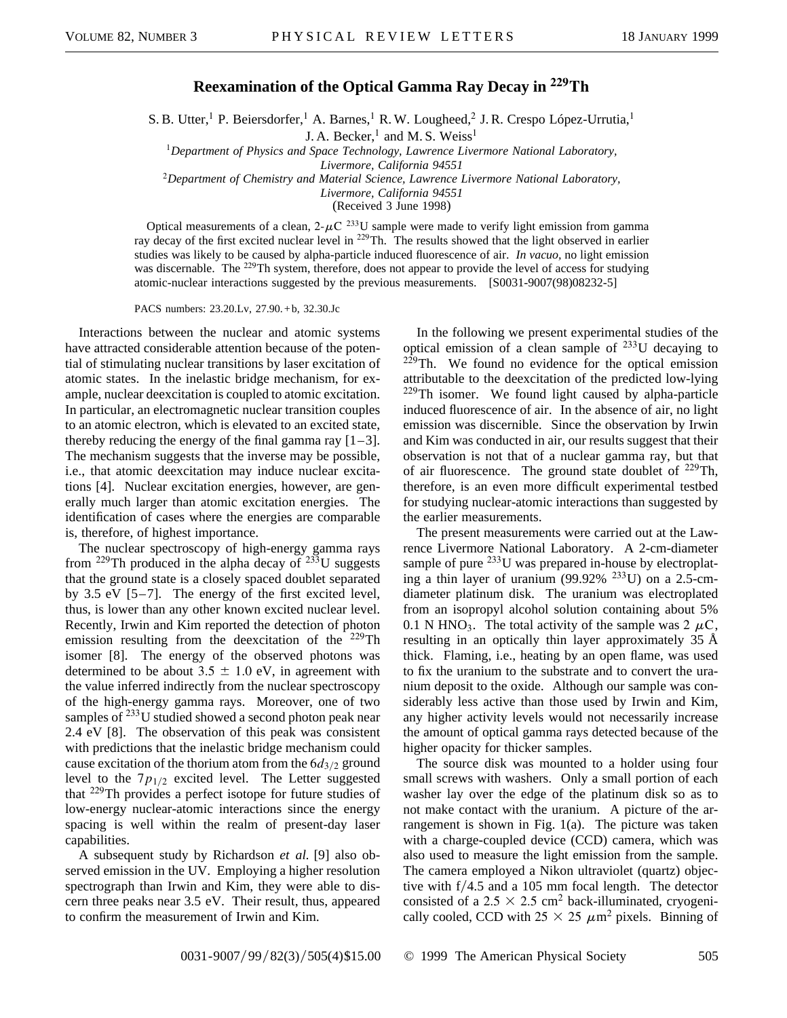## **Reexamination of the Optical Gamma Ray Decay in 229Th**

S. B. Utter,<sup>1</sup> P. Beiersdorfer,<sup>1</sup> A. Barnes,<sup>1</sup> R. W. Lougheed,<sup>2</sup> J. R. Crespo López-Urrutia,<sup>1</sup>

J. A. Becker, $<sup>1</sup>$  and M. S. Weiss<sup>1</sup></sup>

<sup>1</sup>*Department of Physics and Space Technology, Lawrence Livermore National Laboratory, Livermore, California 94551*

<sup>2</sup>*Department of Chemistry and Material Science, Lawrence Livermore National Laboratory,*

*Livermore, California 94551*

(Received 3 June 1998)

Optical measurements of a clean,  $2-\mu\text{C}^{233}\text{U}$  sample were made to verify light emission from gamma ray decay of the first excited nuclear level in <sup>229</sup>Th. The results showed that the light observed in earlier studies was likely to be caused by alpha-particle induced fluorescence of air. *In vacuo,* no light emission was discernable. The <sup>229</sup>Th system, therefore, does not appear to provide the level of access for studying atomic-nuclear interactions suggested by the previous measurements. [S0031-9007(98)08232-5]

PACS numbers: 23.20.Lv, 27.90. + b, 32.30.Jc

Interactions between the nuclear and atomic systems have attracted considerable attention because of the potential of stimulating nuclear transitions by laser excitation of atomic states. In the inelastic bridge mechanism, for example, nuclear deexcitation is coupled to atomic excitation. In particular, an electromagnetic nuclear transition couples to an atomic electron, which is elevated to an excited state, thereby reducing the energy of the final gamma ray  $[1-3]$ . The mechanism suggests that the inverse may be possible, i.e., that atomic deexcitation may induce nuclear excitations [4]. Nuclear excitation energies, however, are generally much larger than atomic excitation energies. The identification of cases where the energies are comparable is, therefore, of highest importance.

The nuclear spectroscopy of high-energy gamma rays from <sup>229</sup>Th produced in the alpha decay of  $^{233}$ U suggests that the ground state is a closely spaced doublet separated by 3.5 eV [5–7]. The energy of the first excited level, thus, is lower than any other known excited nuclear level. Recently, Irwin and Kim reported the detection of photon emission resulting from the deexcitation of the  $^{229}$ Th isomer [8]. The energy of the observed photons was determined to be about  $3.5 \pm 1.0$  eV, in agreement with the value inferred indirectly from the nuclear spectroscopy of the high-energy gamma rays. Moreover, one of two samples of  $^{233}$ U studied showed a second photon peak near 2.4 eV [8]. The observation of this peak was consistent with predictions that the inelastic bridge mechanism could cause excitation of the thorium atom from the  $6d_{3/2}$  ground level to the  $7p_{1/2}$  excited level. The Letter suggested that <sup>229</sup>Th provides a perfect isotope for future studies of low-energy nuclear-atomic interactions since the energy spacing is well within the realm of present-day laser capabilities.

A subsequent study by Richardson *et al.* [9] also observed emission in the UV. Employing a higher resolution spectrograph than Irwin and Kim, they were able to discern three peaks near 3.5 eV. Their result, thus, appeared to confirm the measurement of Irwin and Kim.

In the following we present experimental studies of the optical emission of a clean sample of  $^{233}$ U decaying to  $229$ Th. We found no evidence for the optical emission attributable to the deexcitation of the predicted low-lying  $229$ Th isomer. We found light caused by alpha-particle induced fluorescence of air. In the absence of air, no light emission was discernible. Since the observation by Irwin and Kim was conducted in air, our results suggest that their observation is not that of a nuclear gamma ray, but that of air fluorescence. The ground state doublet of <sup>229</sup>Th, therefore, is an even more difficult experimental testbed for studying nuclear-atomic interactions than suggested by the earlier measurements.

The present measurements were carried out at the Lawrence Livermore National Laboratory. A 2-cm-diameter sample of pure  $^{233}$ U was prepared in-house by electroplating a thin layer of uranium  $(99.92\%$  <sup>233</sup>U) on a 2.5-cmdiameter platinum disk. The uranium was electroplated from an isopropyl alcohol solution containing about 5% 0.1 N HNO<sub>3</sub>. The total activity of the sample was 2  $\mu$ C, resulting in an optically thin layer approximately 35 Å thick. Flaming, i.e., heating by an open flame, was used to fix the uranium to the substrate and to convert the uranium deposit to the oxide. Although our sample was considerably less active than those used by Irwin and Kim, any higher activity levels would not necessarily increase the amount of optical gamma rays detected because of the higher opacity for thicker samples.

The source disk was mounted to a holder using four small screws with washers. Only a small portion of each washer lay over the edge of the platinum disk so as to not make contact with the uranium. A picture of the arrangement is shown in Fig. 1(a). The picture was taken with a charge-coupled device (CCD) camera, which was also used to measure the light emission from the sample. The camera employed a Nikon ultraviolet (quartz) objective with  $f/4.5$  and a 105 mm focal length. The detector consisted of a 2.5  $\times$  2.5 cm<sup>2</sup> back-illuminated, cryogenically cooled, CCD with  $25 \times 25 \ \mu \text{m}^2$  pixels. Binning of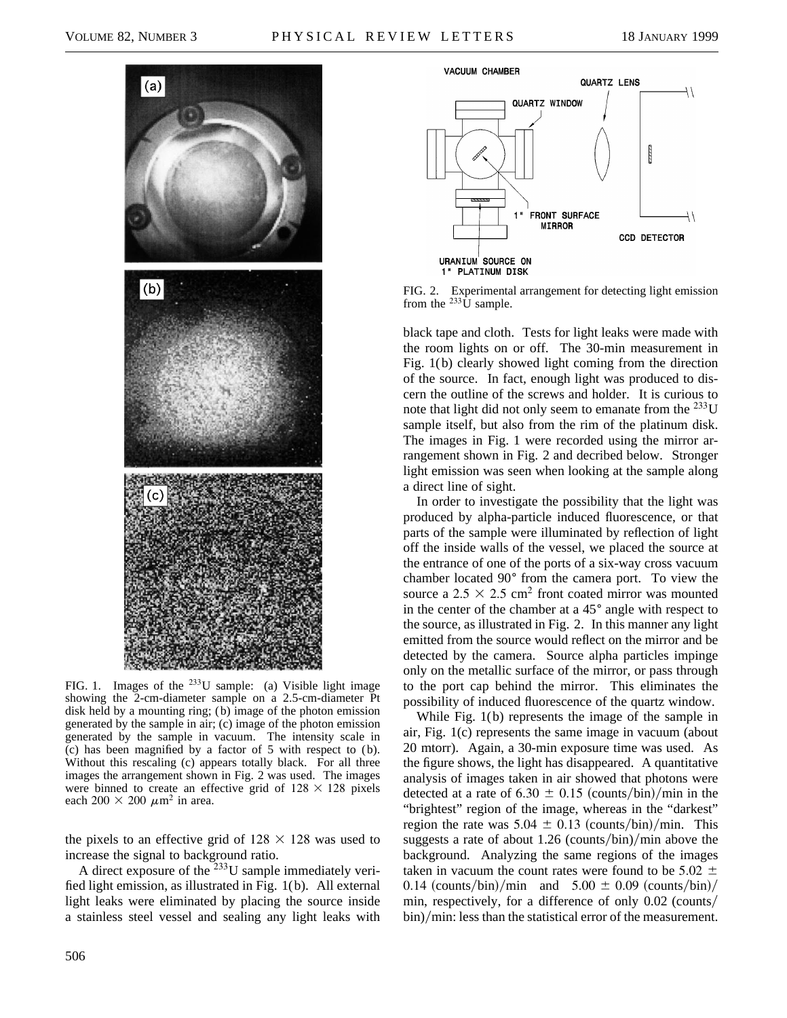

FIG. 1. Images of the  $^{233}U$  sample: (a) Visible light image showing the 2-cm-diameter sample on a 2.5-cm-diameter Pt disk held by a mounting ring; ( b) image of the photon emission generated by the sample in air; (c) image of the photon emission generated by the sample in vacuum. The intensity scale in  $(c)$  has been magnified by a factor of 5 with respect to  $(b)$ . Without this rescaling (c) appears totally black. For all three images the arrangement shown in Fig. 2 was used. The images were binned to create an effective grid of  $128 \times 128$  pixels each 200  $\times$  200  $\mu$ m<sup>2</sup> in area.

the pixels to an effective grid of  $128 \times 128$  was used to increase the signal to background ratio.

A direct exposure of the <sup>233</sup>U sample immediately verified light emission, as illustrated in Fig. 1(b). All external light leaks were eliminated by placing the source inside a stainless steel vessel and sealing any light leaks with



FIG. 2. Experimental arrangement for detecting light emission from the  $^{233}$ U sample.

black tape and cloth. Tests for light leaks were made with the room lights on or off. The 30-min measurement in Fig. 1(b) clearly showed light coming from the direction of the source. In fact, enough light was produced to discern the outline of the screws and holder. It is curious to note that light did not only seem to emanate from the  $^{233}$ U sample itself, but also from the rim of the platinum disk. The images in Fig. 1 were recorded using the mirror arrangement shown in Fig. 2 and decribed below. Stronger light emission was seen when looking at the sample along a direct line of sight.

In order to investigate the possibility that the light was produced by alpha-particle induced fluorescence, or that parts of the sample were illuminated by reflection of light off the inside walls of the vessel, we placed the source at the entrance of one of the ports of a six-way cross vacuum chamber located 90° from the camera port. To view the source a  $2.5 \times 2.5$  cm<sup>2</sup> front coated mirror was mounted in the center of the chamber at a  $45^{\circ}$  angle with respect to the source, as illustrated in Fig. 2. In this manner any light emitted from the source would reflect on the mirror and be detected by the camera. Source alpha particles impinge only on the metallic surface of the mirror, or pass through to the port cap behind the mirror. This eliminates the possibility of induced fluorescence of the quartz window.

While Fig. 1(b) represents the image of the sample in air, Fig. 1(c) represents the same image in vacuum (about 20 mtorr). Again, a 30-min exposure time was used. As the figure shows, the light has disappeared. A quantitative analysis of images taken in air showed that photons were detected at a rate of 6.30  $\pm$  0.15 (counts/bin)/min in the "brightest" region of the image, whereas in the "darkest" region the rate was  $5.04 \pm 0.13$  (counts/bin)/min. This suggests a rate of about  $1.26$  (counts/bin)/min above the background. Analyzing the same regions of the images taken in vacuum the count rates were found to be 5.02  $\pm$ 0.14 (counts/bin)/min and  $5.00 \pm 0.09$  (counts/bin)/ min, respectively, for a difference of only  $0.02$  (counts/ bin)/min: less than the statistical error of the measurement.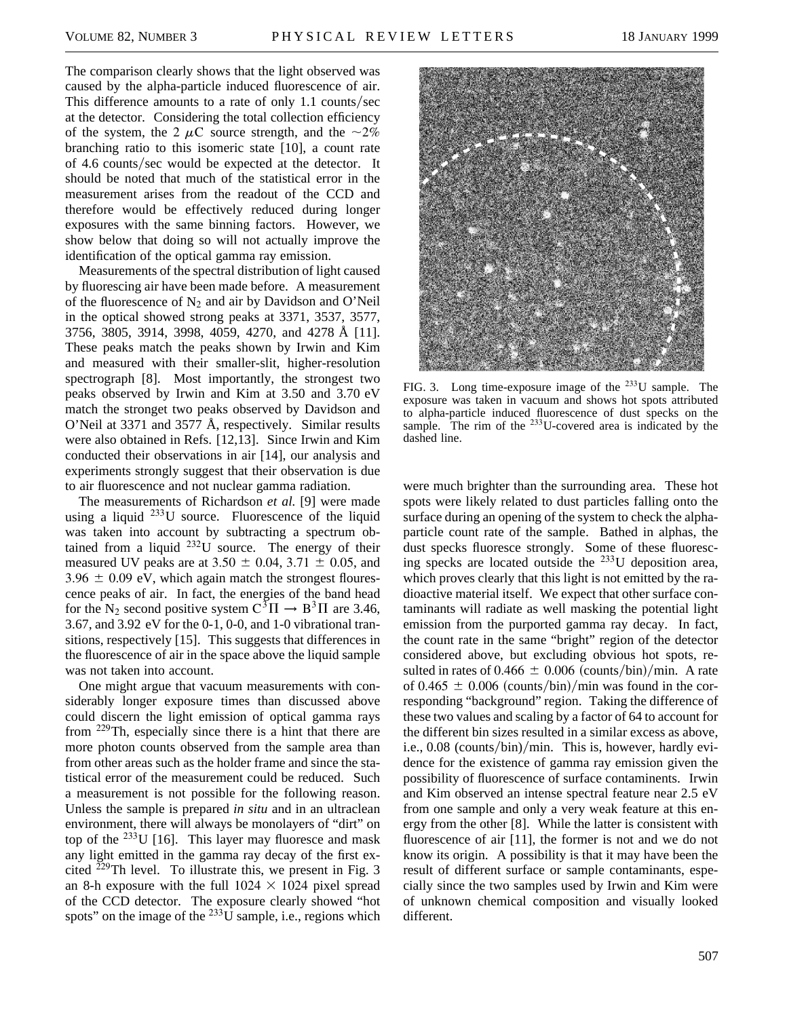The comparison clearly shows that the light observed was caused by the alpha-particle induced fluorescence of air. This difference amounts to a rate of only  $1.1$  counts/sec at the detector. Considering the total collection efficiency of the system, the 2  $\mu$ C source strength, and the  $\sim$ 2% branching ratio to this isomeric state [10], a count rate of 4.6 counts/sec would be expected at the detector. It should be noted that much of the statistical error in the measurement arises from the readout of the CCD and therefore would be effectively reduced during longer exposures with the same binning factors. However, we show below that doing so will not actually improve the identification of the optical gamma ray emission.

Measurements of the spectral distribution of light caused by fluorescing air have been made before. A measurement of the fluorescence of  $N_2$  and air by Davidson and O'Neil in the optical showed strong peaks at 3371, 3537, 3577, 3756, 3805, 3914, 3998, 4059, 4270, and 4278 Å [11]. These peaks match the peaks shown by Irwin and Kim and measured with their smaller-slit, higher-resolution spectrograph [8]. Most importantly, the strongest two peaks observed by Irwin and Kim at 3.50 and 3.70 eV match the stronget two peaks observed by Davidson and O'Neil at 3371 and 3577 Å, respectively. Similar results were also obtained in Refs. [12,13]. Since Irwin and Kim conducted their observations in air [14], our analysis and experiments strongly suggest that their observation is due to air fluorescence and not nuclear gamma radiation.

The measurements of Richardson *et al.* [9] were made using a liquid  $^{233}$ U source. Fluorescence of the liquid was taken into account by subtracting a spectrum obtained from a liquid  $^{232}$ U source. The energy of their measured UV peaks are at  $3.50 \pm 0.04$ ,  $3.71 \pm 0.05$ , and  $3.96 \pm 0.09$  eV, which again match the strongest flourescence peaks of air. In fact, the energies of the band head for the N<sub>2</sub> second positive system  $C^{3}\Pi \rightarrow B^{3}\Pi$  are 3.46, 3.67, and 3.92 eV for the 0-1, 0-0, and 1-0 vibrational transitions, respectively [15]. This suggests that differences in the fluorescence of air in the space above the liquid sample was not taken into account.

One might argue that vacuum measurements with considerably longer exposure times than discussed above could discern the light emission of optical gamma rays from  $229$ Th, especially since there is a hint that there are more photon counts observed from the sample area than from other areas such as the holder frame and since the statistical error of the measurement could be reduced. Such a measurement is not possible for the following reason. Unless the sample is prepared *in situ* and in an ultraclean environment, there will always be monolayers of "dirt" on top of the  $^{233}$ U [16]. This layer may fluoresce and mask any light emitted in the gamma ray decay of the first excited  $^{229}$ Th level. To illustrate this, we present in Fig. 3 an 8-h exposure with the full  $1024 \times 1024$  pixel spread of the CCD detector. The exposure clearly showed "hot spots" on the image of the  $^{233}$ U sample, i.e., regions which



FIG. 3. Long time-exposure image of the  $^{233}$ U sample. The exposure was taken in vacuum and shows hot spots attributed to alpha-particle induced fluorescence of dust specks on the sample. The rim of the  $^{233}$ U-covered area is indicated by the dashed line.

were much brighter than the surrounding area. These hot spots were likely related to dust particles falling onto the surface during an opening of the system to check the alphaparticle count rate of the sample. Bathed in alphas, the dust specks fluoresce strongly. Some of these fluorescing specks are located outside the <sup>233</sup>U deposition area, which proves clearly that this light is not emitted by the radioactive material itself. We expect that other surface contaminants will radiate as well masking the potential light emission from the purported gamma ray decay. In fact, the count rate in the same "bright" region of the detector considered above, but excluding obvious hot spots, resulted in rates of 0.466  $\pm$  0.006 (counts/bin)/min. A rate of 0.465  $\pm$  0.006 (counts/bin)/min was found in the corresponding "background" region. Taking the difference of these two values and scaling by a factor of 64 to account for the different bin sizes resulted in a similar excess as above, i.e.,  $0.08$  (counts/bin)/min. This is, however, hardly evidence for the existence of gamma ray emission given the possibility of fluorescence of surface contaminents. Irwin and Kim observed an intense spectral feature near 2.5 eV from one sample and only a very weak feature at this energy from the other [8]. While the latter is consistent with fluorescence of air [11], the former is not and we do not know its origin. A possibility is that it may have been the result of different surface or sample contaminants, especially since the two samples used by Irwin and Kim were of unknown chemical composition and visually looked different.